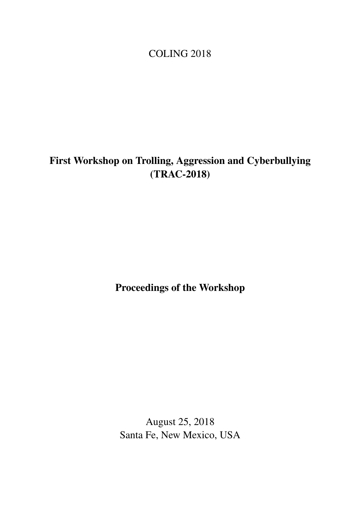<span id="page-0-0"></span>COLING 2018

# First Workshop on Trolling, Aggression and Cyberbullying (TRAC-2018)

Proceedings of the Workshop

August 25, 2018 Santa Fe, New Mexico, USA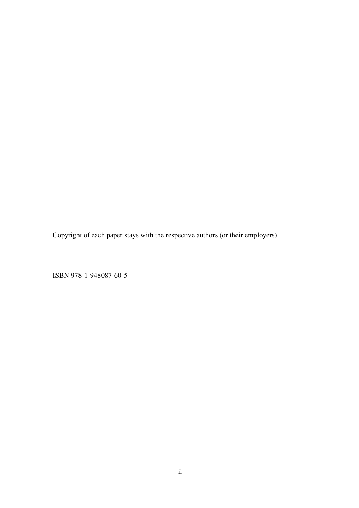Copyright of each paper stays with the respective authors (or their employers).

ISBN 978-1-948087-60-5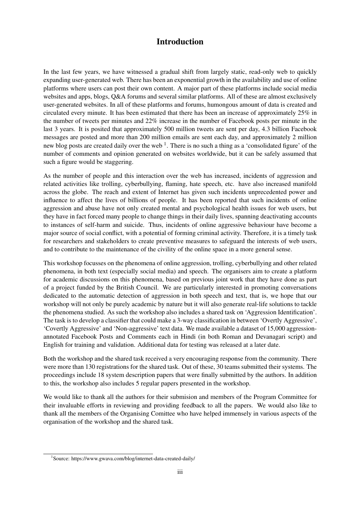## Introduction

In the last few years, we have witnessed a gradual shift from largely static, read-only web to quickly expanding user-generated web. There has been an exponential growth in the availability and use of online platforms where users can post their own content. A major part of these platforms include social media websites and apps, blogs, Q&A forums and several similar platforms. All of these are almost exclusively user-generated websites. In all of these platforms and forums, humongous amount of data is created and circulated every minute. It has been estimated that there has been an increase of approximately 25% in the number of tweets per minutes and 22% increase in the number of Facebook posts per minute in the last 3 years. It is posited that approximately 500 million tweets are sent per day, 4.3 billion Facebook messages are posted and more than 200 million emails are sent each day, and approximately 2 million new blog posts are created daily over the web<sup>1</sup>. There is no such a thing as a 'consolidated figure' of the number of comments and opinion generated on websites worldwide, but it can be safely assumed that such a figure would be staggering.

As the number of people and this interaction over the web has increased, incidents of aggression and related activities like trolling, cyberbullying, flaming, hate speech, etc. have also increased manifold across the globe. The reach and extent of Internet has given such incidents unprecedented power and influence to affect the lives of billions of people. It has been reported that such incidents of online aggression and abuse have not only created mental and psychological health issues for web users, but they have in fact forced many people to change things in their daily lives, spanning deactivating accounts to instances of self-harm and suicide. Thus, incidents of online aggressive behaviour have become a major source of social conflict, with a potential of forming criminal activity. Therefore, it is a timely task for researchers and stakeholders to create preventive measures to safeguard the interests of web users, and to contribute to the maintenance of the civility of the online space in a more general sense.

This workshop focusses on the phenomena of online aggression, trolling, cyberbullying and other related phenomena, in both text (especially social media) and speech. The organisers aim to create a platform for academic discussions on this phenomena, based on previous joint work that they have done as part of a project funded by the British Council. We are particularly interested in promoting conversations dedicated to the automatic detection of aggression in both speech and text, that is, we hope that our workshop will not only be purely academic by nature but it will also generate real-life solutions to tackle the phenomena studied. As such the workshop also includes a shared task on 'Aggression Identification'. The task is to develop a classifier that could make a 3-way classification in between 'Overtly Aggressive', 'Covertly Aggressive' and 'Non-aggressive' text data. We made available a dataset of 15,000 aggressionannotated Facebook Posts and Comments each in Hindi (in both Roman and Devanagari script) and English for training and validation. Additional data for testing was released at a later date.

Both the workshop and the shared task received a very encouraging response from the community. There were more than 130 registrations for the shared task. Out of these, 30 teams submitted their systems. The proceedings include 18 system description papers that were finally submitted by the authors. In addition to this, the workshop also includes 5 regular papers presented in the workshop.

We would like to thank all the authors for their submision and members of the Program Committee for their invaluable efforts in reviewing and providing feedback to all the papers. We would also like to thank all the members of the Organising Comittee who have helped immensely in various aspects of the organisation of the workshop and the shared task.

<sup>1</sup> Source: https://www.gwava.com/blog/internet-data-created-daily/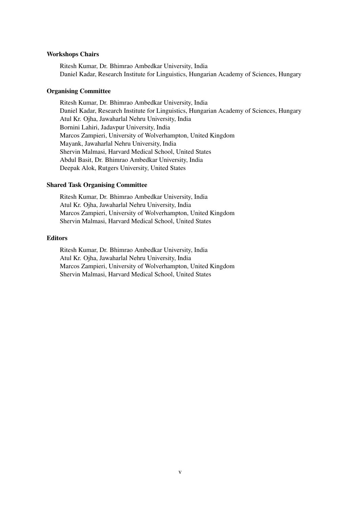#### Workshops Chairs

Ritesh Kumar, Dr. Bhimrao Ambedkar University, India Daniel Kadar, Research Institute for Linguistics, Hungarian Academy of Sciences, Hungary

### Organising Committee

Ritesh Kumar, Dr. Bhimrao Ambedkar University, India Daniel Kadar, Research Institute for Linguistics, Hungarian Academy of Sciences, Hungary Atul Kr. Ojha, Jawaharlal Nehru University, India Bornini Lahiri, Jadavpur University, India Marcos Zampieri, University of Wolverhampton, United Kingdom Mayank, Jawaharlal Nehru University, India Shervin Malmasi, Harvard Medical School, United States Abdul Basit, Dr. Bhimrao Ambedkar University, India Deepak Alok, Rutgers University, United States

### Shared Task Organising Committee

Ritesh Kumar, Dr. Bhimrao Ambedkar University, India Atul Kr. Ojha, Jawaharlal Nehru University, India Marcos Zampieri, University of Wolverhampton, United Kingdom Shervin Malmasi, Harvard Medical School, United States

### **Editors**

Ritesh Kumar, Dr. Bhimrao Ambedkar University, India Atul Kr. Ojha, Jawaharlal Nehru University, India Marcos Zampieri, University of Wolverhampton, United Kingdom Shervin Malmasi, Harvard Medical School, United States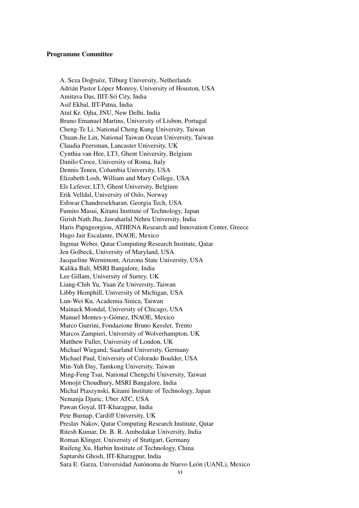### Programme Committee

A. Seza Doğruöz, Tilburg University, Netherlands Adrián Pastor López Monroy, University of Houston, USA Amitava Das, IIIT-Sri City, India Asif Ekbal, IIT-Patna, India Atul Kr. Ojha, JNU, New Delhi, India Bruno Emanuel Martins, University of Lisbon, Portugal Cheng-Te Li, National Cheng Kung University, Taiwan Chuan-Jie Lin, National Taiwan Ocean University, Taiwan Claudia Peersman, Lancaster University, UK Cynthia van Hee, LT3, Ghent University, Belgium Danilo Croce, University of Roma, Italy Dennis Tenen, Columbia University, USA Elizabeth Losh, William and Mary College, USA Els Lefever, LT3, Ghent University, Belgium Erik Velldal, University of Oslo, Norway Eshwar Chandresekharan, Georgia Tech, USA Fumito Masui, Kitami Institute of Technology, Japan Girish Nath Jha, Jawaharlal Nehru University, India Haris Papageorgiou, ATHENA Research and Innovation Center, Greece Hugo Jair Escalante, INAOE, Mexico Ingmar Weber, Qatar Computing Research Institute, Qatar Jen Golbeck, University of Maryland, USA Jacqueline Wernimont, Arizona State University, USA Kalika Bali, MSRI Bangalore, India Lee Gillam, University of Surrey, UK Liang-Chih Yu, Yuan Ze University, Taiwan Libby Hemphill, University of Michigan, USA Lun-Wei Ku, Academia Sinica, Taiwan Mainack Mondal, University of Chicago, USA Manuel Montes-y-Gómez, INAOE, Mexico Marco Guerini, Fondazione Bruno Kessler, Trento Marcos Zampieri, University of Wolverhampton, UK Matthew Fuller, University of London, UK Michael Wiegand, Saarland University, Germany Michael Paul, University of Colorado Boulder, USA Min-Yuh Day, Tamkong University, Taiwan Ming-Feng Tsai, National Chengchi University, Taiwan Monojit Choudhury, MSRI Bangalore, India Michal Ptaszynski, Kitami Institute of Technology, Japan Nemanja Djuric, Uber ATC, USA Pawan Goyal, IIT-Kharagpur, India Pete Burnap, Cardiff University, UK Preslav Nakov, Qatar Computing Research Institute, Qatar Ritesh Kumar, Dr. B. R. Ambedakar University, India Roman Klinger, University of Stuttgart, Germany Ruifeng Xu, Harbin Institute of Technology, China Saptarshi Ghosh, IIT-Kharagpur, India Sara E. Garza, Universidad Autónoma de Nuevo León (UANL), Mexico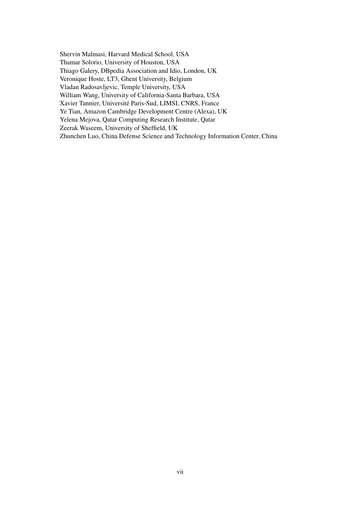Shervin Malmasi, Harvard Medical School, USA Thamar Solorio, University of Houston, USA Thiago Galery, DBpedia Association and Idio, London, UK Veronique Hoste, LT3, Ghent University, Belgium Vladan Radosavljevic, Temple University, USA William Wang, University of California-Santa Barbara, USA Xavier Tannier, Université Paris-Sud, LIMSI, CNRS, France Ye Tian, Amazon Cambridge Development Centre (Alexa), UK Yelena Mejova, Qatar Computing Research Institute, Qatar Zeerak Waseem, University of Sheffield, UK Zhunchen Luo, China Defense Science and Technology Information Center, China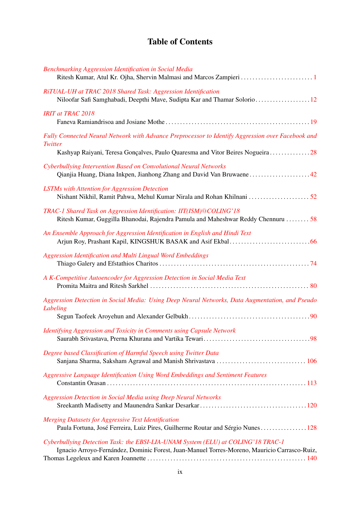# Table of Contents

| Benchmarking Aggression Identification in Social Media                                                                                                                                        |
|-----------------------------------------------------------------------------------------------------------------------------------------------------------------------------------------------|
| RiTUAL-UH at TRAC 2018 Shared Task: Aggression Identification<br>Niloofar Safi Samghabadi, Deepthi Mave, Sudipta Kar and Thamar Solorio12                                                     |
| <b>IRIT at TRAC 2018</b>                                                                                                                                                                      |
| Fully Connected Neural Network with Advance Preprocessor to Identify Aggression over Facebook and<br>Twitter<br>Kashyap Raiyani, Teresa Gonçalves, Paulo Quaresma and Vitor Beires Nogueira28 |
| Cyberbullying Intervention Based on Convolutional Neural Networks                                                                                                                             |
| <b>LSTMs with Attention for Aggression Detection</b>                                                                                                                                          |
| TRAC-1 Shared Task on Aggression Identification: IIT(ISM)@COLING'18<br>Ritesh Kumar, Guggilla Bhanodai, Rajendra Pamula and Maheshwar Reddy Chennuru  58                                      |
| An Ensemble Approach for Aggression Identification in English and Hindi Text                                                                                                                  |
| Aggression Identification and Multi Lingual Word Embeddings                                                                                                                                   |
| A K-Competitive Autoencoder for Aggression Detection in Social Media Text                                                                                                                     |
| Aggression Detection in Social Media: Using Deep Neural Networks, Data Augmentation, and Pseudo<br>Labeling                                                                                   |
| Identifying Aggression and Toxicity in Comments using Capsule Network                                                                                                                         |
| Degree based Classification of Harmful Speech using Twitter Data                                                                                                                              |
| Aggressive Language Identification Using Word Embeddings and Sentiment Features                                                                                                               |
| <b>Aggression Detection in Social Media using Deep Neural Networks</b>                                                                                                                        |
| Merging Datasets for Aggressive Text Identification<br>Paula Fortuna, José Ferreira, Luiz Pires, Guilherme Routar and Sérgio Nunes 128                                                        |
| Cyberbullying Detection Task: the EBSI-LIA-UNAM System (ELU) at COLING'18 TRAC-1<br>Ignacio Arroyo-Fernández, Dominic Forest, Juan-Manuel Torres-Moreno, Mauricio Carrasco-Ruiz,              |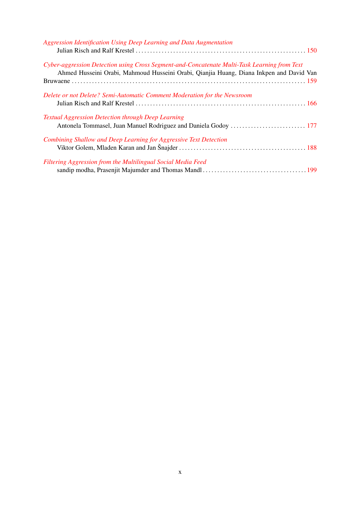| Aggression Identification Using Deep Learning and Data Augmentation                                                                                                                     |  |
|-----------------------------------------------------------------------------------------------------------------------------------------------------------------------------------------|--|
| Cyber-aggression Detection using Cross Segment-and-Concatenate Multi-Task Learning from Text<br>Ahmed Husseini Orabi, Mahmoud Husseini Orabi, Qianjia Huang, Diana Inkpen and David Van |  |
| Delete or not Delete? Semi-Automatic Comment Moderation for the Newsroom                                                                                                                |  |
| <b>Textual Aggression Detection through Deep Learning</b>                                                                                                                               |  |
| Combining Shallow and Deep Learning for Aggressive Text Detection                                                                                                                       |  |
| Filtering Aggression from the Multilingual Social Media Feed                                                                                                                            |  |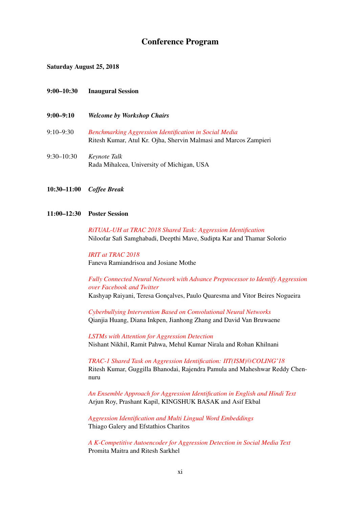## Conference Program

Saturday August 25, 2018

### 9:00–10:30 Inaugural Session

- 9:00–9:10 *Welcome by Workshop Chairs*
- 9:10–9:30 *[Benchmarking Aggression Identification in Social Media](#page-0-0)* Ritesh Kumar, Atul Kr. Ojha, Shervin Malmasi and Marcos Zampieri
- 9:30–10:30 *Keynote Talk* Rada Mihalcea, University of Michigan, USA
- 10:30–11:00 *Coffee Break*

#### 11:00–12:30 Poster Session

*[RiTUAL-UH at TRAC 2018 Shared Task: Aggression Identification](#page-0-0)* Niloofar Safi Samghabadi, Deepthi Mave, Sudipta Kar and Thamar Solorio

*[IRIT at TRAC 2018](#page-0-0)* Faneva Ramiandrisoa and Josiane Mothe

*[Fully Connected Neural Network with Advance Preprocessor to Identify Aggression](#page-0-0) [over Facebook and Twitter](#page-0-0)* Kashyap Raiyani, Teresa Gonçalves, Paulo Quaresma and Vitor Beires Nogueira

*[Cyberbullying Intervention Based on Convolutional Neural Networks](#page-0-0)* Qianjia Huang, Diana Inkpen, Jianhong Zhang and David Van Bruwaene

*[LSTMs with Attention for Aggression Detection](#page-0-0)* Nishant Nikhil, Ramit Pahwa, Mehul Kumar Nirala and Rohan Khilnani

*[TRAC-1 Shared Task on Aggression Identification: IIT\(ISM\)](#page-0-0)*@*COLING'18* Ritesh Kumar, Guggilla Bhanodai, Rajendra Pamula and Maheshwar Reddy Chennuru

*[An Ensemble Approach for Aggression Identification in English and Hindi Text](#page-0-0)* Arjun Roy, Prashant Kapil, KINGSHUK BASAK and Asif Ekbal

*[Aggression Identification and Multi Lingual Word Embeddings](#page-0-0)* Thiago Galery and Efstathios Charitos

*[A K-Competitive Autoencoder for Aggression Detection in Social Media Text](#page-0-0)* Promita Maitra and Ritesh Sarkhel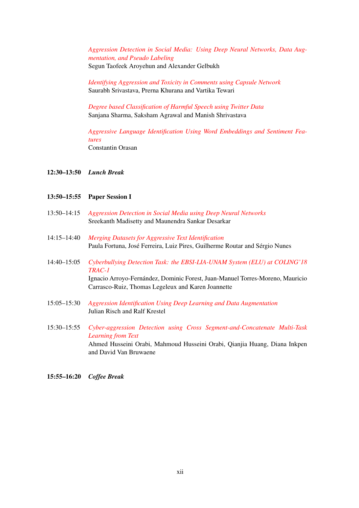*[Aggression Detection in Social Media: Using Deep Neural Networks, Data Aug](#page-0-0)[mentation, and Pseudo Labeling](#page-0-0)* Segun Taofeek Aroyehun and Alexander Gelbukh

*[Identifying Aggression and Toxicity in Comments using Capsule Network](#page-0-0)* Saurabh Srivastava, Prerna Khurana and Vartika Tewari

*[Degree based Classification of Harmful Speech using Twitter Data](#page-0-0)* Sanjana Sharma, Saksham Agrawal and Manish Shrivastava

*[Aggressive Language Identification Using Word Embeddings and Sentiment Fea](#page-0-0)[tures](#page-0-0)* Constantin Orasan

### 12:30–13:50 *Lunch Break*

### 13:50–15:55 Paper Session I

- 13:50–14:15 *[Aggression Detection in Social Media using Deep Neural Networks](#page-0-0)* Sreekanth Madisetty and Maunendra Sankar Desarkar
- 14:15–14:40 *[Merging Datasets for Aggressive Text Identification](#page-0-0)* Paula Fortuna, José Ferreira, Luiz Pires, Guilherme Routar and Sérgio Nunes
- 14:40–15:05 *[Cyberbullying Detection Task: the EBSI-LIA-UNAM System \(ELU\) at COLING'18](#page-0-0) [TRAC-1](#page-0-0)* Ignacio Arroyo-Fernández, Dominic Forest, Juan-Manuel Torres-Moreno, Mauricio Carrasco-Ruiz, Thomas Legeleux and Karen Joannette
- 15:05–15:30 *[Aggression Identification Using Deep Learning and Data Augmentation](#page-0-0)* Julian Risch and Ralf Krestel
- 15:30–15:55 *[Cyber-aggression Detection using Cross Segment-and-Concatenate Multi-Task](#page-0-0) [Learning from Text](#page-0-0)* Ahmed Husseini Orabi, Mahmoud Husseini Orabi, Qianjia Huang, Diana Inkpen and David Van Bruwaene

### 15:55–16:20 *Coffee Break*